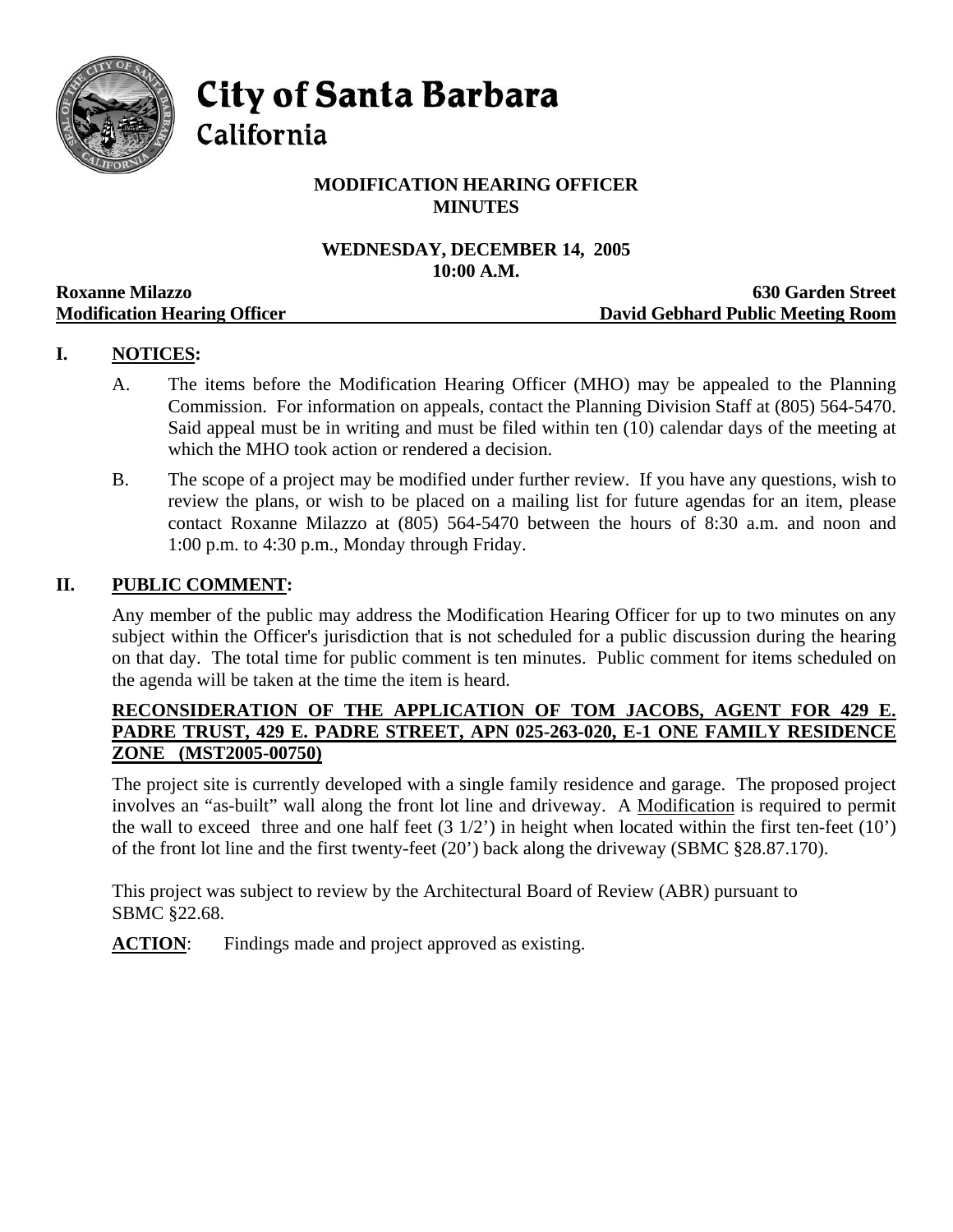

**City of Santa Barbara** 

California

# **MODIFICATION HEARING OFFICER MINUTES**

## **WEDNESDAY, DECEMBER 14, 2005 10:00 A.M.**

|                                     | TAYAA TIRTAYIY                    |
|-------------------------------------|-----------------------------------|
| <b>Roxanne Milazzo</b>              | <b>630 Garden Street</b>          |
| <b>Modification Hearing Officer</b> | David Gebhard Public Meeting Room |

# **I. NOTICES:**

- A. The items before the Modification Hearing Officer (MHO) may be appealed to the Planning Commission. For information on appeals, contact the Planning Division Staff at (805) 564-5470. Said appeal must be in writing and must be filed within ten (10) calendar days of the meeting at which the MHO took action or rendered a decision.
- B. The scope of a project may be modified under further review. If you have any questions, wish to review the plans, or wish to be placed on a mailing list for future agendas for an item, please contact Roxanne Milazzo at (805) 564-5470 between the hours of 8:30 a.m. and noon and 1:00 p.m. to 4:30 p.m., Monday through Friday.

### **II. PUBLIC COMMENT:**

Any member of the public may address the Modification Hearing Officer for up to two minutes on any subject within the Officer's jurisdiction that is not scheduled for a public discussion during the hearing on that day. The total time for public comment is ten minutes. Public comment for items scheduled on the agenda will be taken at the time the item is heard.

## **RECONSIDERATION OF THE APPLICATION OF TOM JACOBS, AGENT FOR 429 E. PADRE TRUST, 429 E. PADRE STREET, APN 025-263-020, E-1 ONE FAMILY RESIDENCE ZONE (MST2005-00750)**

The project site is currently developed with a single family residence and garage. The proposed project involves an "as-built" wall along the front lot line and driveway. A Modification is required to permit the wall to exceed three and one half feet  $(3\ 1/2)$  in height when located within the first ten-feet  $(10')$ of the front lot line and the first twenty-feet (20') back along the driveway (SBMC §28.87.170).

This project was subject to review by the Architectural Board of Review (ABR) pursuant to SBMC §22.68.

**ACTION:** Findings made and project approved as existing.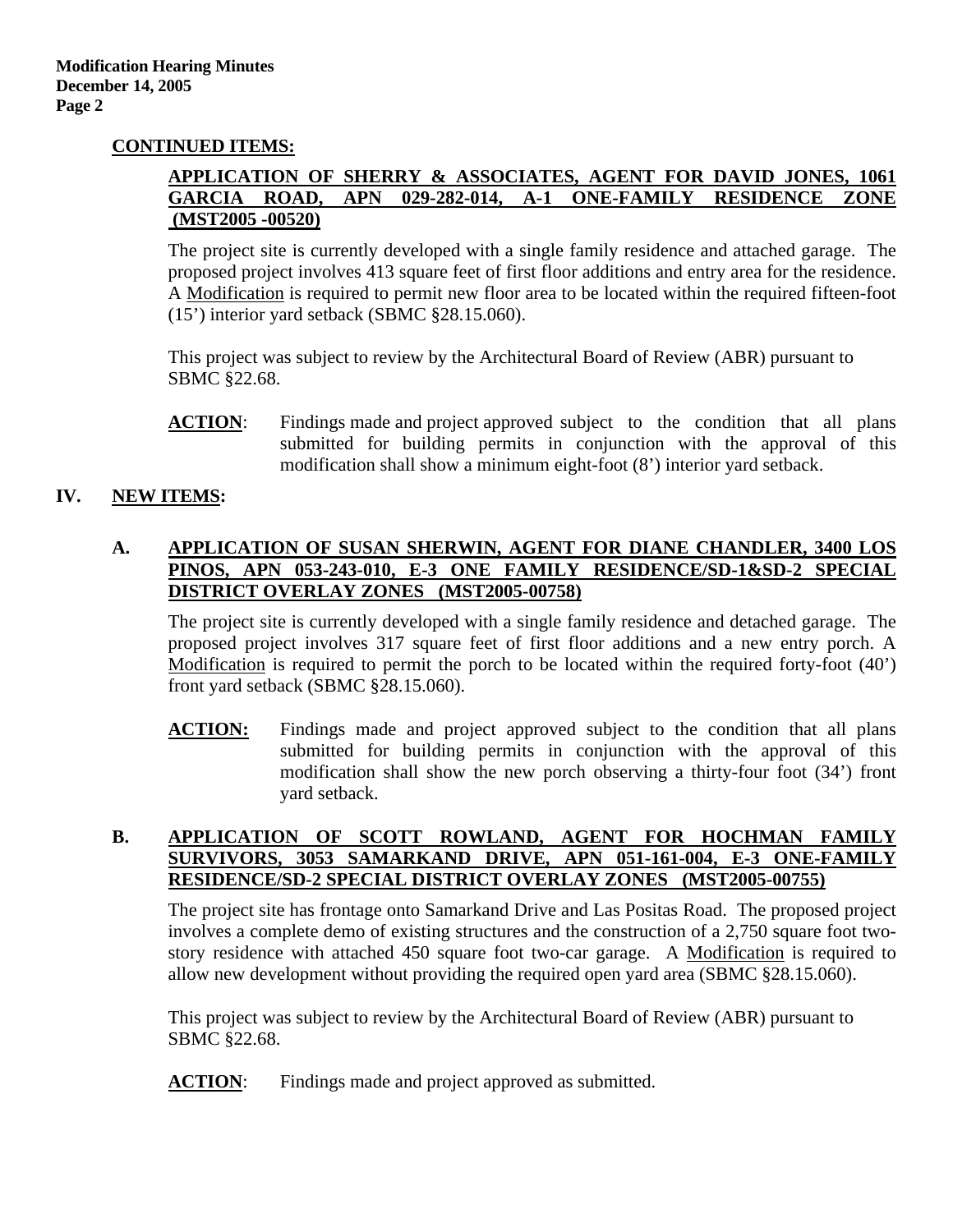### **CONTINUED ITEMS:**

### **APPLICATION OF SHERRY & ASSOCIATES, AGENT FOR DAVID JONES, 1061 GARCIA ROAD, APN 029-282-014, A-1 ONE-FAMILY RESIDENCE ZONE (MST2005 -00520)**

The project site is currently developed with a single family residence and attached garage. The proposed project involves 413 square feet of first floor additions and entry area for the residence. A Modification is required to permit new floor area to be located within the required fifteen-foot (15') interior yard setback (SBMC §28.15.060).

This project was subject to review by the Architectural Board of Review (ABR) pursuant to SBMC §22.68.

**ACTION:** Findings made and project approved subject to the condition that all plans submitted for building permits in conjunction with the approval of this modification shall show a minimum eight-foot (8') interior yard setback.

### **IV. NEW ITEMS:**

### **A. APPLICATION OF SUSAN SHERWIN, AGENT FOR DIANE CHANDLER, 3400 LOS PINOS, APN 053-243-010, E-3 ONE FAMILY RESIDENCE/SD-1&SD-2 SPECIAL DISTRICT OVERLAY ZONES (MST2005-00758)**

The project site is currently developed with a single family residence and detached garage. The proposed project involves 317 square feet of first floor additions and a new entry porch. A Modification is required to permit the porch to be located within the required forty-foot (40') front yard setback (SBMC §28.15.060).

**ACTION:** Findings made and project approved subject to the condition that all plans submitted for building permits in conjunction with the approval of this modification shall show the new porch observing a thirty-four foot (34') front yard setback.

## **B. APPLICATION OF SCOTT ROWLAND, AGENT FOR HOCHMAN FAMILY SURVIVORS, 3053 SAMARKAND DRIVE, APN 051-161-004, E-3 ONE-FAMILY RESIDENCE/SD-2 SPECIAL DISTRICT OVERLAY ZONES (MST2005-00755)**

The project site has frontage onto Samarkand Drive and Las Positas Road. The proposed project involves a complete demo of existing structures and the construction of a 2,750 square foot twostory residence with attached 450 square foot two-car garage. A Modification is required to allow new development without providing the required open yard area (SBMC §28.15.060).

This project was subject to review by the Architectural Board of Review (ABR) pursuant to SBMC §22.68.

**ACTION:** Findings made and project approved as submitted.